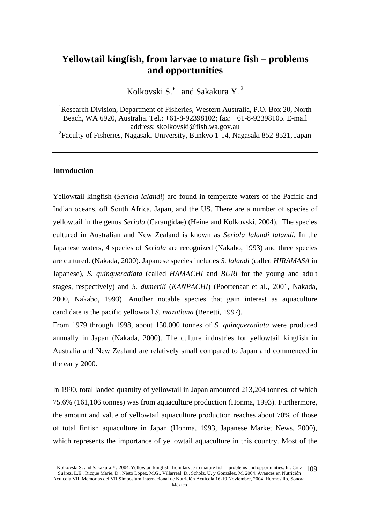# **Yellowtail kingfish, from larvae to mature fish – problems and opportunities**

Kolkovski S.<sup>\* 1</sup> and Sakakura Y.<sup>2</sup>

<sup>1</sup>Research Division, Department of Fisheries, Western Australia, P.O. Box 20, North Beach, WA 6920, Australia. Tel.: +61-8-92398102; fax: +61-8-92398105. E-mail address: skolkovski@fish.wa.gov.au 2 Faculty of Fisheries, Nagasaki University, Bunkyo 1-14, Nagasaki 852-8521, Japan

## **Introduction**

 $\overline{a}$ 

Yellowtail kingfish (*Seriola lalandi*) are found in temperate waters of the Pacific and Indian oceans, off South Africa, Japan, and the US. There are a number of species of yellowtail in the genus *Seriola* (Carangidae) (Heine and Kolkovski, 2004). The species cultured in Australian and New Zealand is known as *Seriola lalandi lalandi*. In the Japanese waters, 4 species of *Seriola* are recognized (Nakabo, 1993) and three species are cultured. (Nakada, 2000). Japanese species includes *S. lalandi* (called *HIRAMASA* in Japanese)*, S. quinqueradiata* (called *HAMACHI* and *BURI* for the young and adult stages, respectively) and *S. dumerili* (*KANPACHI*) (Poortenaar et al., 2001, Nakada, 2000, Nakabo, 1993). Another notable species that gain interest as aquaculture candidate is the pacific yellowtail *S. mazatlana* (Benetti, 1997).

From 1979 through 1998, about 150,000 tonnes of *S. quinqueradiata* were produced annually in Japan (Nakada, 2000). The culture industries for yellowtail kingfish in Australia and New Zealand are relatively small compared to Japan and commenced in the early 2000.

In 1990, total landed quantity of yellowtail in Japan amounted 213,204 tonnes, of which 75.6% (161,106 tonnes) was from aquaculture production (Honma, 1993). Furthermore, the amount and value of yellowtail aquaculture production reaches about 70% of those of total finfish aquaculture in Japan (Honma, 1993, Japanese Market News, 2000), which represents the importance of yellowtail aquaculture in this country. Most of the

Kolkovski S. and Sakakura Y. 2004. Yellowtail kingfish, from larvae to mature fish – problems and opportunities. In: Cruz 109 Suárez, L.E., Ricque Marie, D., Nieto López, M.G., Villarreal, D., Scholz, U. y González, M. 2004. Avances en Nutrición Acuícola VII. Memorias del VII Simposium Internacional de Nutrición Acuícola.16-19 Noviembre, 2004. Hermosillo, Sonora,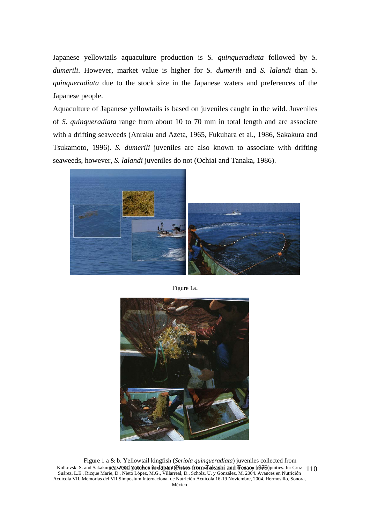Japanese yellowtails aquaculture production is *S. quinqueradiata* followed by *S. dumerili*. However, market value is higher for *S. dumerili* and *S. lalandi* than *S. quinqueradiata* due to the stock size in the Japanese waters and preferences of the Japanese people.

Aquaculture of Japanese yellowtails is based on juveniles caught in the wild. Juveniles of *S. quinqueradiata* range from about 10 to 70 mm in total length and are associate with a drifting seaweeds (Anraku and Azeta, 1965, Fukuhara et al., 1986, Sakakura and Tsukamoto, 1996). *S. dumerili* juveniles are also known to associate with drifting seaweeds, however, *S. lalandi* juveniles do not (Ochiai and Tanaka, 1986).



Figure 1a.



Kolkovski S. and Sakakura Yaw 1994 Yellowesi living fish in (Photo war form Tarkashi - and Lessand 1979) unities. In: Cruz 110 Suárez, L.E., Ricque Marie, D., Nieto López, M.G., Villarreal, D., Scholz, U. y González, M. 2004. Avances en Nutrición Acuícola VII. Memorias del VII Simposium Internacional de Nutrición Acuícola.16-19 Noviembre, 2004. Hermosillo, Sonora, México Figure 1 a & b. Yellowtail kingfish (*Seriola quinqueradiata*) juveniles collected from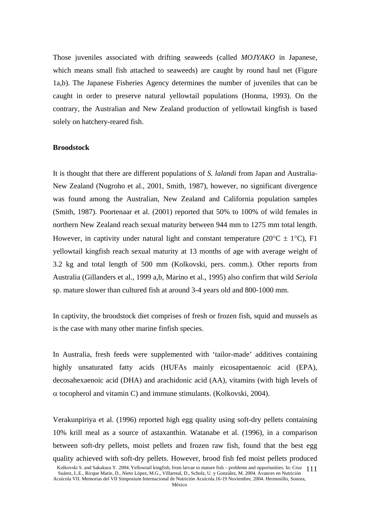Those juveniles associated with drifting seaweeds (called *MOJYAKO* in Japanese, which means small fish attached to seaweeds) are caught by round haul net (Figure 1a,b). The Japanese Fisheries Agency determines the number of juveniles that can be caught in order to preserve natural yellowtail populations (Honma, 1993). On the contrary, the Australian and New Zealand production of yellowtail kingfish is based solely on hatchery-reared fish.

## **Broodstock**

It is thought that there are different populations of *S. lalandi* from Japan and Australia-New Zealand (Nugroho et al., 2001, Smith, 1987), however, no significant divergence was found among the Australian, New Zealand and California population samples (Smith, 1987). Poortenaar et al. (2001) reported that 50% to 100% of wild females in northern New Zealand reach sexual maturity between 944 mm to 1275 mm total length. However, in captivity under natural light and constant temperature ( $20^{\circ}$ C  $\pm$  1°C), F1 yellowtail kingfish reach sexual maturity at 13 months of age with average weight of 3.2 kg and total length of 500 mm (Kolkovski, pers. comm.). Other reports from Australia (Gillanders et al., 1999 a,b, Marino et al., 1995) also confirm that wild *Seriola* sp. mature slower than cultured fish at around 3-4 years old and 800-1000 mm.

In captivity, the broodstock diet comprises of fresh or frozen fish, squid and mussels as is the case with many other marine finfish species.

In Australia, fresh feeds were supplemented with 'tailor-made' additives containing highly unsaturated fatty acids (HUFAs mainly eicosapentaenoic acid (EPA), decosahexaenoic acid (DHA) and arachidonic acid (AA), vitamins (with high levels of  $\alpha$  tocopherol and vitamin C) and immune stimulants. (Kolkovski, 2004).

Verakunpiriya et al. (1996) reported high egg quality using soft-dry pellets containing 10% krill meal as a source of astaxanthin. Watanabe et al. (1996), in a comparison between soft-dry pellets, moist pellets and frozen raw fish, found that the best egg quality achieved with soft-dry pellets. However, brood fish fed moist pellets produced

Kolkovski S. and Sakakura Y. 2004. Yellowtail kingfish, from larvae to mature fish – problems and opportunities. In: Cruz 111 Suárez, L.E., Ricque Marie, D., Nieto López, M.G., Villarreal, D., Scholz, U. y González, M. 2004. Avances en Nutrición Acuícola VII. Memorias del VII Simposium Internacional de Nutrición Acuícola.16-19 Noviembre, 2004. Hermosillo, Sonora,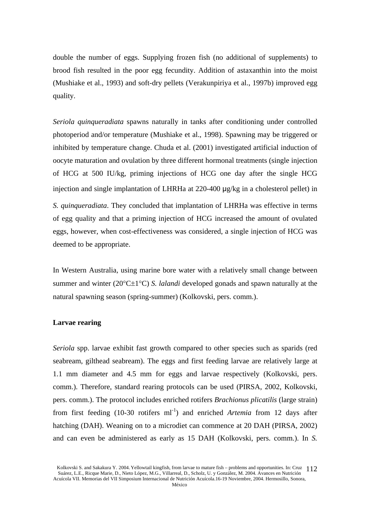double the number of eggs. Supplying frozen fish (no additional of supplements) to brood fish resulted in the poor egg fecundity. Addition of astaxanthin into the moist (Mushiake et al., 1993) and soft-dry pellets (Verakunpiriya et al., 1997b) improved egg quality.

*Seriola quinqueradiata* spawns naturally in tanks after conditioning under controlled photoperiod and/or temperature (Mushiake et al., 1998). Spawning may be triggered or inhibited by temperature change. Chuda et al. (2001) investigated artificial induction of oocyte maturation and ovulation by three different hormonal treatments (single injection of HCG at 500 IU/kg, priming injections of HCG one day after the single HCG injection and single implantation of LHRHa at 220-400 μg/kg in a cholesterol pellet) in *S. quinqueradiata*. They concluded that implantation of LHRHa was effective in terms of egg quality and that a priming injection of HCG increased the amount of ovulated eggs, however, when cost-effectiveness was considered, a single injection of HCG was deemed to be appropriate.

In Western Australia, using marine bore water with a relatively small change between summer and winter (20°C±1°C) *S. lalandi* developed gonads and spawn naturally at the natural spawning season (spring-summer) (Kolkovski, pers. comm.).

#### **Larvae rearing**

*Seriola* spp. larvae exhibit fast growth compared to other species such as sparids (red seabream, gilthead seabream). The eggs and first feeding larvae are relatively large at 1.1 mm diameter and 4.5 mm for eggs and larvae respectively (Kolkovski, pers. comm.). Therefore, standard rearing protocols can be used (PIRSA, 2002, Kolkovski, pers. comm.). The protocol includes enriched rotifers *Brachionus plicatilis* (large strain) from first feeding  $(10-30 \text{ rotifers ml}^{-1})$  and enriched *Artemia* from 12 days after hatching (DAH). Weaning on to a microdiet can commence at 20 DAH (PIRSA, 2002) and can even be administered as early as 15 DAH (Kolkovski, pers. comm.). In *S.* 

Kolkovski S. and Sakakura Y. 2004. Yellowtail kingfish, from larvae to mature fish – problems and opportunities. In: Cruz 112 Suárez, L.E., Ricque Marie, D., Nieto López, M.G., Villarreal, D., Scholz, U. y González, M. 2004. Avances en Nutrición Acuícola VII. Memorias del VII Simposium Internacional de Nutrición Acuícola.16-19 Noviembre, 2004. Hermosillo, Sonora,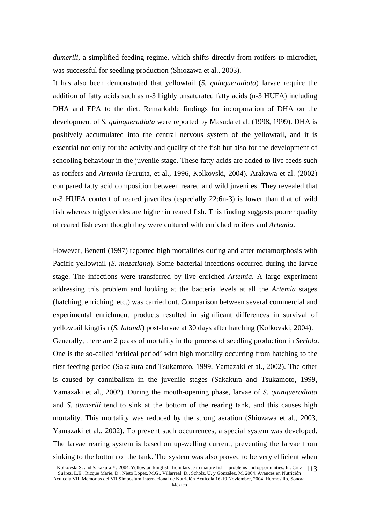*dumerili*, a simplified feeding regime, which shifts directly from rotifers to microdiet, was successful for seedling production (Shiozawa et al., 2003).

It has also been demonstrated that yellowtail (*S. quinqueradiata*) larvae require the addition of fatty acids such as n-3 highly unsaturated fatty acids (n-3 HUFA) including DHA and EPA to the diet. Remarkable findings for incorporation of DHA on the development of *S. quinqueradiata* were reported by Masuda et al. (1998, 1999). DHA is positively accumulated into the central nervous system of the yellowtail, and it is essential not only for the activity and quality of the fish but also for the development of schooling behaviour in the juvenile stage. These fatty acids are added to live feeds such as rotifers and *Artemia* (Furuita, et al., 1996, Kolkovski, 2004). Arakawa et al. (2002) compared fatty acid composition between reared and wild juveniles. They revealed that n-3 HUFA content of reared juveniles (especially 22:6n-3) is lower than that of wild fish whereas triglycerides are higher in reared fish. This finding suggests poorer quality of reared fish even though they were cultured with enriched rotifers and *Artemia*.

However, Benetti (1997) reported high mortalities during and after metamorphosis with Pacific yellowtail (*S. mazatlana*). Some bacterial infections occurred during the larvae stage. The infections were transferred by live enriched *Artemia*. A large experiment addressing this problem and looking at the bacteria levels at all the *Artemia* stages (hatching, enriching, etc.) was carried out. Comparison between several commercial and experimental enrichment products resulted in significant differences in survival of yellowtail kingfish (*S. lalandi*) post-larvae at 30 days after hatching (Kolkovski, 2004). Generally, there are 2 peaks of mortality in the process of seedling production in *Seriola*. One is the so-called 'critical period' with high mortality occurring from hatching to the first feeding period (Sakakura and Tsukamoto, 1999, Yamazaki et al., 2002). The other is caused by cannibalism in the juvenile stages (Sakakura and Tsukamoto, 1999, Yamazaki et al., 2002). During the mouth-opening phase, larvae of *S. quinqueradiata* and *S. dumerili* tend to sink at the bottom of the rearing tank, and this causes high mortality. This mortality was reduced by the strong aeration (Shiozawa et al., 2003, Yamazaki et al., 2002). To prevent such occurrences, a special system was developed. The larvae rearing system is based on up-welling current, preventing the larvae from sinking to the bottom of the tank. The system was also proved to be very efficient when

Kolkovski S. and Sakakura Y. 2004. Yellowtail kingfish, from larvae to mature fish – problems and opportunities. In: Cruz 113 Suárez, L.E., Ricque Marie, D., Nieto López, M.G., Villarreal, D., Scholz, U. y González, M. 2004. Avances en Nutrición Acuícola VII. Memorias del VII Simposium Internacional de Nutrición Acuícola.16-19 Noviembre, 2004. Hermosillo, Sonora,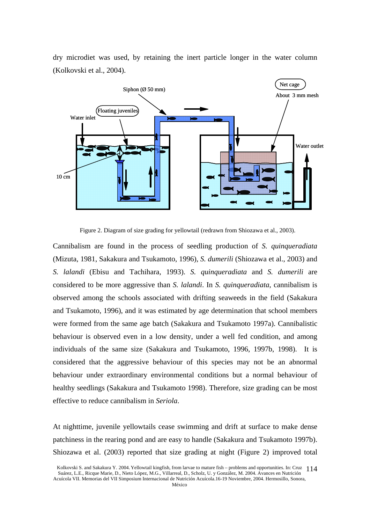dry microdiet was used, by retaining the inert particle longer in the water column (Kolkovski et al., 2004).



Figure 2. Diagram of size grading for yellowtail (redrawn from Shiozawa et al., 2003).

Cannibalism are found in the process of seedling production of *S. quinqueradiata* (Mizuta, 1981, Sakakura and Tsukamoto, 1996), *S. dumerili* (Shiozawa et al., 2003) and *S. lalandi* (Ebisu and Tachihara, 1993). *S. quinqueradiata* and *S. dumerili* are considered to be more aggressive than *S. lalandi*. In *S. quinqueradiata*, cannibalism is observed among the schools associated with drifting seaweeds in the field (Sakakura and Tsukamoto, 1996), and it was estimated by age determination that school members were formed from the same age batch (Sakakura and Tsukamoto 1997a). Cannibalistic behaviour is observed even in a low density, under a well fed condition, and among individuals of the same size (Sakakura and Tsukamoto, 1996, 1997b, 1998). It is considered that the aggressive behaviour of this species may not be an abnormal behaviour under extraordinary environmental conditions but a normal behaviour of healthy seedlings (Sakakura and Tsukamoto 1998). Therefore, size grading can be most effective to reduce cannibalism in *Seriola*.

At nighttime, juvenile yellowtails cease swimming and drift at surface to make dense patchiness in the rearing pond and are easy to handle (Sakakura and Tsukamoto 1997b). Shiozawa et al. (2003) reported that size grading at night (Figure 2) improved total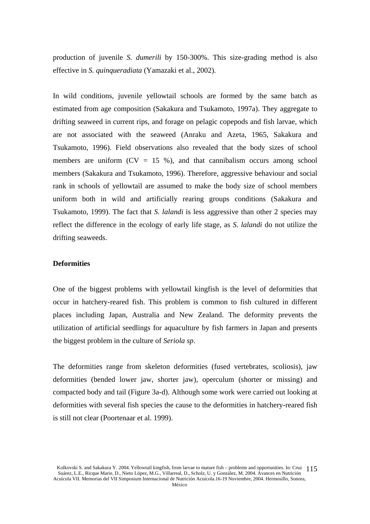production of juvenile *S. dumerili* by 150-300%. This size-grading method is also effective in *S. quinqueradiata* (Yamazaki et al., 2002).

In wild conditions, juvenile yellowtail schools are formed by the same batch as estimated from age composition (Sakakura and Tsukamoto, 1997a). They aggregate to drifting seaweed in current rips, and forage on pelagic copepods and fish larvae, which are not associated with the seaweed (Anraku and Azeta, 1965, Sakakura and Tsukamoto, 1996). Field observations also revealed that the body sizes of school members are uniform  $(CV = 15 \%)$ , and that cannibalism occurs among school members (Sakakura and Tsukamoto, 1996). Therefore, aggressive behaviour and social rank in schools of yellowtail are assumed to make the body size of school members uniform both in wild and artificially rearing groups conditions (Sakakura and Tsukamoto, 1999). The fact that *S. lalandi* is less aggressive than other 2 species may reflect the difference in the ecology of early life stage, as *S. lalandi* do not utilize the drifting seaweeds.

#### **Deformities**

One of the biggest problems with yellowtail kingfish is the level of deformities that occur in hatchery-reared fish. This problem is common to fish cultured in different places including Japan, Australia and New Zealand. The deformity prevents the utilization of artificial seedlings for aquaculture by fish farmers in Japan and presents the biggest problem in the culture of *Seriola sp*.

The deformities range from skeleton deformities (fused vertebrates, scoliosis), jaw deformities (bended lower jaw, shorter jaw), operculum (shorter or missing) and compacted body and tail (Figure 3a-d). Although some work were carried out looking at deformities with several fish species the cause to the deformities in hatchery-reared fish is still not clear (Poortenaar et al. 1999).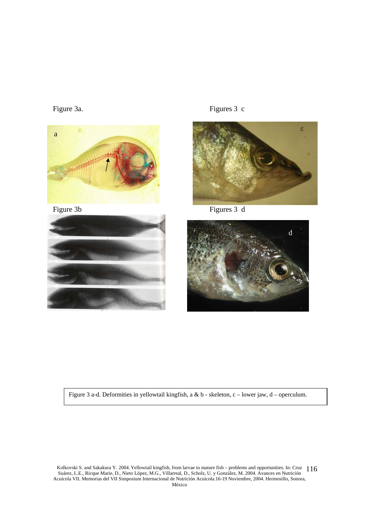













Figure 3 a-d. Deformities in yellowtail kingfish, a & b - skeleton, c – lower jaw, d – operculum.

Kolkovski S. and Sakakura Y. 2004. Yellowtail kingfish, from larvae to mature fish – problems and opportunities. In: Cruz 116 Suárez, L.E., Ricque Marie, D., Nieto López, M.G., Villarreal, D., Scholz, U. y González, M. 2004. Avances en Nutrición Acuícola VII. Memorias del VII Simposium Internacional de Nutrición Acuícola.16-19 Noviembre, 2004. Hermosillo, Sonora, México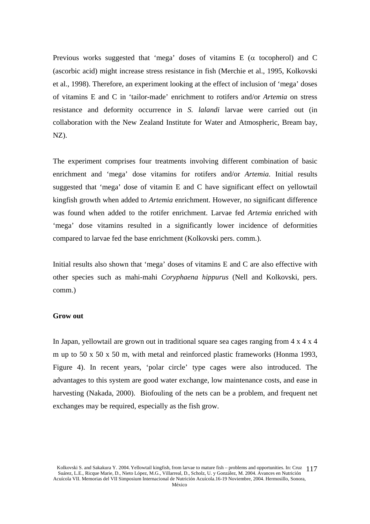Previous works suggested that 'mega' doses of vitamins  $E$  ( $\alpha$  tocopherol) and  $C$ (ascorbic acid) might increase stress resistance in fish (Merchie et al., 1995, Kolkovski et al., 1998). Therefore, an experiment looking at the effect of inclusion of 'mega' doses of vitamins E and C in 'tailor-made' enrichment to rotifers and/or *Artemia* on stress resistance and deformity occurrence in *S. lalandi* larvae were carried out (in collaboration with the New Zealand Institute for Water and Atmospheric, Bream bay, NZ).

The experiment comprises four treatments involving different combination of basic enrichment and 'mega' dose vitamins for rotifers and/or *Artemia*. Initial results suggested that 'mega' dose of vitamin E and C have significant effect on yellowtail kingfish growth when added to *Artemia* enrichment. However, no significant difference was found when added to the rotifer enrichment. Larvae fed *Artemia* enriched with 'mega' dose vitamins resulted in a significantly lower incidence of deformities compared to larvae fed the base enrichment (Kolkovski pers. comm.).

Initial results also shown that 'mega' doses of vitamins E and C are also effective with other species such as mahi-mahi *Coryphaena hippurus* (Nell and Kolkovski, pers. comm.)

#### **Grow out**

In Japan, yellowtail are grown out in traditional square sea cages ranging from 4 x 4 x 4 m up to 50 x 50 x 50 m, with metal and reinforced plastic frameworks (Honma 1993, Figure 4). In recent years, 'polar circle' type cages were also introduced. The advantages to this system are good water exchange, low maintenance costs, and ease in harvesting (Nakada, 2000). Biofouling of the nets can be a problem, and frequent net exchanges may be required, especially as the fish grow.

Kolkovski S. and Sakakura Y. 2004. Yellowtail kingfish, from larvae to mature fish – problems and opportunities. In: Cruz 117 Suárez, L.E., Ricque Marie, D., Nieto López, M.G., Villarreal, D., Scholz, U. y González, M. 2004. Avances en Nutrición Acuícola VII. Memorias del VII Simposium Internacional de Nutrición Acuícola.16-19 Noviembre, 2004. Hermosillo, Sonora,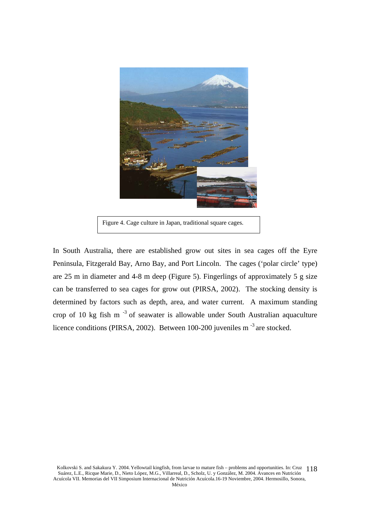

Figure 4. Cage culture in Japan, traditional square cages.

In South Australia, there are established grow out sites in sea cages off the Eyre Peninsula, Fitzgerald Bay, Arno Bay, and Port Lincoln. The cages ('polar circle' type) are 25 m in diameter and 4-8 m deep (Figure 5). Fingerlings of approximately 5 g size can be transferred to sea cages for grow out (PIRSA, 2002). The stocking density is determined by factors such as depth, area, and water current. A maximum standing crop of 10 kg fish m<sup>-3</sup> of seawater is allowable under South Australian aquaculture licence conditions (PIRSA, 2002). Between 100-200 juveniles m<sup>-3</sup> are stocked.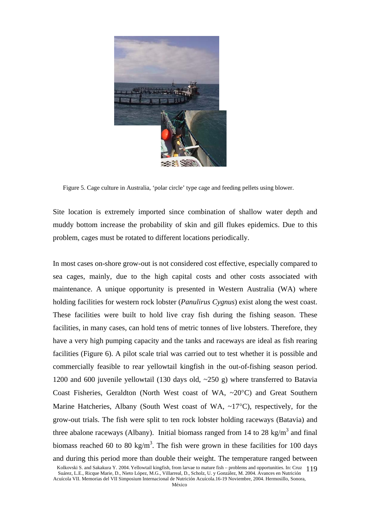

Figure 5. Cage culture in Australia, 'polar circle' type cage and feeding pellets using blower.

Site location is extremely imported since combination of shallow water depth and muddy bottom increase the probability of skin and gill flukes epidemics. Due to this problem, cages must be rotated to different locations periodically.

In most cases on-shore grow-out is not considered cost effective, especially compared to sea cages, mainly, due to the high capital costs and other costs associated with maintenance. A unique opportunity is presented in Western Australia (WA) where holding facilities for western rock lobster (*Panulirus Cygnus*) exist along the west coast. These facilities were built to hold live cray fish during the fishing season. These facilities, in many cases, can hold tens of metric tonnes of live lobsters. Therefore, they have a very high pumping capacity and the tanks and raceways are ideal as fish rearing facilities (Figure 6). A pilot scale trial was carried out to test whether it is possible and commercially feasible to rear yellowtail kingfish in the out-of-fishing season period. 1200 and 600 juvenile yellowtail (130 days old, ~250 g) where transferred to Batavia Coast Fisheries, Geraldton (North West coast of WA, ~20°C) and Great Southern Marine Hatcheries, Albany (South West coast of WA,  $\sim$ 17°C), respectively, for the grow-out trials. The fish were split to ten rock lobster holding raceways (Batavia) and three abalone raceways (Albany). Initial biomass ranged from 14 to 28 kg/m<sup>3</sup> and final biomass reached 60 to 80 kg/m<sup>3</sup>. The fish were grown in these facilities for 100 days and during this period more than double their weight. The temperature ranged between

México

Kolkovski S. and Sakakura Y. 2004. Yellowtail kingfish, from larvae to mature fish – problems and opportunities. In: Cruz 119 Suárez, L.E., Ricque Marie, D., Nieto López, M.G., Villarreal, D., Scholz, U. y González, M. 2004. Avances en Nutrición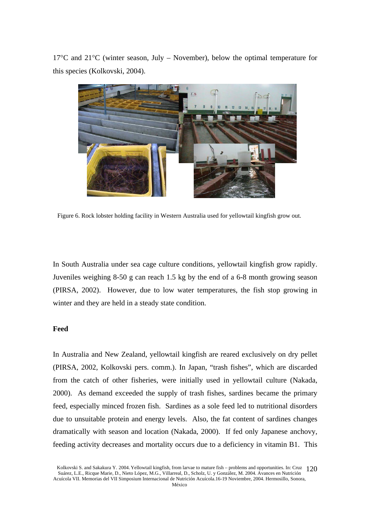$17^{\circ}$ C and  $21^{\circ}$ C (winter season, July – November), below the optimal temperature for this species (Kolkovski, 2004).



Figure 6. Rock lobster holding facility in Western Australia used for yellowtail kingfish grow out.

In South Australia under sea cage culture conditions, yellowtail kingfish grow rapidly. Juveniles weighing 8-50 g can reach 1.5 kg by the end of a 6-8 month growing season (PIRSA, 2002). However, due to low water temperatures, the fish stop growing in winter and they are held in a steady state condition.

## **Feed**

In Australia and New Zealand, yellowtail kingfish are reared exclusively on dry pellet (PIRSA, 2002, Kolkovski pers. comm.). In Japan, "trash fishes", which are discarded from the catch of other fisheries, were initially used in yellowtail culture (Nakada, 2000). As demand exceeded the supply of trash fishes, sardines became the primary feed, especially minced frozen fish. Sardines as a sole feed led to nutritional disorders due to unsuitable protein and energy levels. Also, the fat content of sardines changes dramatically with season and location (Nakada, 2000). If fed only Japanese anchovy, feeding activity decreases and mortality occurs due to a deficiency in vitamin B1. This

Kolkovski S. and Sakakura Y. 2004. Yellowtail kingfish, from larvae to mature fish – problems and opportunities. In: Cruz 120 Suárez, L.E., Ricque Marie, D., Nieto López, M.G., Villarreal, D., Scholz, U. y González, M. 2004. Avances en Nutrición Acuícola VII. Memorias del VII Simposium Internacional de Nutrición Acuícola.16-19 Noviembre, 2004. Hermosillo, Sonora,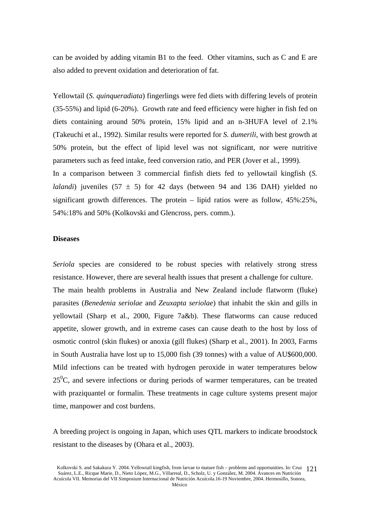can be avoided by adding vitamin B1 to the feed. Other vitamins, such as C and E are also added to prevent oxidation and deterioration of fat.

Yellowtail (*S. quinqueradiata*) fingerlings were fed diets with differing levels of protein (35-55%) and lipid (6-20%). Growth rate and feed efficiency were higher in fish fed on diets containing around 50% protein, 15% lipid and an n-3HUFA level of 2.1% (Takeuchi et al., 1992). Similar results were reported for *S. dumerili*, with best growth at 50% protein, but the effect of lipid level was not significant, nor were nutritive parameters such as feed intake, feed conversion ratio, and PER (Jover et al., 1999).

In a comparison between 3 commercial finfish diets fed to yellowtail kingfish (*S. lalandi*) juveniles  $(57 \pm 5)$  for 42 days (between 94 and 136 DAH) yielded no significant growth differences. The protein – lipid ratios were as follow, 45%:25%, 54%:18% and 50% (Kolkovski and Glencross, pers. comm.).

## **Diseases**

*Seriola* species are considered to be robust species with relatively strong stress resistance. However, there are several health issues that present a challenge for culture. The main health problems in Australia and New Zealand include flatworm (fluke) parasites (*Benedenia seriolae* and *Zeuxapta seriolae*) that inhabit the skin and gills in yellowtail (Sharp et al., 2000, Figure 7a&b). These flatworms can cause reduced appetite, slower growth, and in extreme cases can cause death to the host by loss of osmotic control (skin flukes) or anoxia (gill flukes) (Sharp et al., 2001). In 2003, Farms in South Australia have lost up to 15,000 fish (39 tonnes) with a value of AU\$600,000. Mild infections can be treated with hydrogen peroxide in water temperatures below  $25^{\circ}$ C, and severe infections or during periods of warmer temperatures, can be treated with praziquantel or formalin. These treatments in cage culture systems present major time, manpower and cost burdens.

A breeding project is ongoing in Japan, which uses QTL markers to indicate broodstock resistant to the diseases by (Ohara et al., 2003).

Kolkovski S. and Sakakura Y. 2004. Yellowtail kingfish, from larvae to mature fish – problems and opportunities. In: Cruz 121 Suárez, L.E., Ricque Marie, D., Nieto López, M.G., Villarreal, D., Scholz, U. y González, M. 2004. Avances en Nutrición Acuícola VII. Memorias del VII Simposium Internacional de Nutrición Acuícola.16-19 Noviembre, 2004. Hermosillo, Sonora,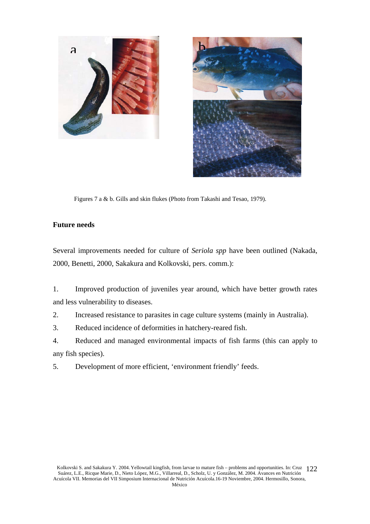



Figures 7 a & b. Gills and skin flukes (Photo from Takashi and Tesao, 1979).

## **Future needs**

Several improvements needed for culture of *Seriola spp* have been outlined (Nakada, 2000, Benetti, 2000, Sakakura and Kolkovski, pers. comm.):

1. Improved production of juveniles year around, which have better growth rates and less vulnerability to diseases.

2. Increased resistance to parasites in cage culture systems (mainly in Australia).

3. Reduced incidence of deformities in hatchery-reared fish.

4. Reduced and managed environmental impacts of fish farms (this can apply to any fish species).

5. Development of more efficient, 'environment friendly' feeds.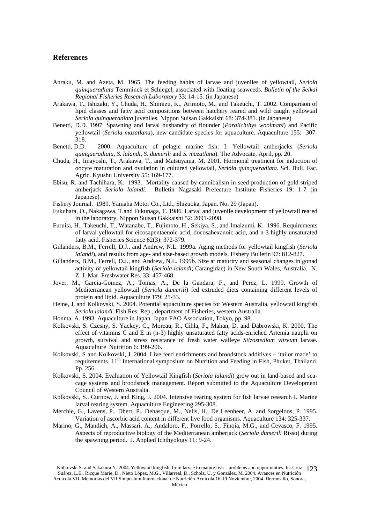### **References**

- Anraku, M. and Azeta, M. 1965. The feeding habits of larvae and juveniles of yellowtail, *Seriola quinqueradiata* Temminck et Schlegel, associated with floating seaweeds. *Bulletin of the Seikai Regional Fisheries Research Laboratory* 33: 14-15. (in Japanese)
- Arakawa, T., Ishizaki, Y., Chuda, H., Shimizu, K., Arimoto, M., and Takeuchi, T. 2002. Comparison of lipid classes and fatty acid compositions between hatchery reared and wild caught yellowtail *Seriola quinqueradiata* juveniles. Nippon Suisan Gakkaishi 68: 374-381. (in Japanese)
- Benetti, D.D. 1997. Spawning and larval husbandry of flounder (*Paralichthys woolmani*) and Pacific yellowtail (*Seriola mazatlana*), new candidate species for aquaculture. Aquaculture 155: 307- 318.
- Benetti, D.D. 2000. Aquaculture of pelagic marine fish: I. Yellowtail amberjacks (*Seriola quinqueradiata, S. lalandi, S. dumerili* and *S. mazatlana*). The Advocate, April, pp. 20.
- Chuda, H., Imayoshi, T., Arakawa, T., and Matsuyama, M. 2001. Hormonal treatment for induction of oocyte maturation and ovulation in cultured yellowtail, *Seriola quinqueradiata*. Sci. Bull. Fac. Agric. Kyushu University 55: 169-177.
- Ebisu, R. and Tachihara, K. 1993. Mortality caused by cannibalism in seed production of gold striped amberjack *Seriola lalandi*. Bulletin Nagasaki Prefecture Institute Fisheries 19: 1-7 (in Japanese).
- Fishery Journal. 1989. Yamaha Motor Co., Ltd., Shizuoka, Japan. No. 29 (Japan).
- Fukuhara, O., Nakagawa, T.and Fukunaga, T. 1986. Larval and juvenile development of yellowtail reared in the laboratory. Nippon Suisan Gakkaishi 52: 2091-2098.
- Furuita, H., Takeuchi, T., Watanabe, T., Fujimoto, H., Sekiya, S., and Imaizumi, K. 1996. Requirements of larval yellowtail for eicosapentaenoic acid, docosahexanoic acid, and n-3 highly unsaturated fatty acid. Fisheries Science 62(3): 372-379.
- Gillanders, B.M., Ferrell, D.J., and Andrew, N.L. 1999a. Aging methods for yellowtail kingfish (*Seriola lalandi*), and results from age- and size-based growth models. Fishery Bulletin 97: 812-827.
- Gillanders, B.M., Ferrell, D.J., and Andrew, N.L. 1999b. Size at maturity and seasonal changes in gonad activity of yellowtail kingfish (*Seriola lalandi*; Carangidae) in New South Wales, Australia. N. Z. J. Mar. Freshwater Res. 33: 457-468.
- Jover, M., Garcia-Gomez, A., Tomas, A., De la Gandara, F., and Perez, L. 1999. Growth of Mediterranean yellowtail (*Seriola dumerili*) fed extruded diets containing different levels of protein and lipid. Aquaculture 179: 25-33.
- Heine, J. and Kolkovski, S. 2004. Potential aquaculture species for Western Australia, yellowtail kingfish *Seriola lalandi*. Fish Res. Rep., department of Fisheries, western Australia.
- Honma, A. 1993. Aquaculture in Japan. Japan FAO Association, Tokyo, pp. 98.
- Kolkovski, S. Czesny, S. Yackey, C., Moreau, R., Cihla, F., Mahan, D. and Dabrowski, K. 2000. The effect of vitamins C and E in (n-3) highly unsaturated fatty acids-enriched Artemia nauplii on growth, survival and stress resistance of fresh water walleye *Stizostediom vitreum* larvae. Aquaculture Nutrition 6: 199-206.
- Kolkovski, S and Kolkovski, J. 2004. Live feed enrichments and broodstock additives 'tailor made' to requirements. 11<sup>th</sup> International symposium on Nutrition and Feeding in Fish, Phuket, Thailand. Pp. 256.
- Kolkovski, S. 2004. Evaluation of Yellowtail Kingfish (*Seriola lalandi*) grow out in land-based and seacage systems and broodstock management. Report submitted to the Aquaculture Development Council of Western Australia.
- Kolkovski, S., Curnow, J. and King, J. 2004. Intensive rearing system for fish larvae research I. Marine larval rearing system. Aquaculture Engineering 295-308.
- Merchie, G., Lavens, P., Dhert, P., Dehasque, M., Nelis, H., De Leenheer, A. and Sorgeloos, P. 1995. Variation of ascorbic acid content in different live food organisms. Aquaculture 134: 325-337.
- Marino, G., Mandich, A., Massari, A., Andaloro, F., Porrello, S., Finoia, M.G., and Cevasco, F. 1995. Aspects of reproductive biology of the Mediterranean amberjack (*Seriola dumerili* Risso) during the spawning period. J. Applied Ichthyology 11: 9-24.

Kolkovski S. and Sakakura Y. 2004. Yellowtail kingfish, from larvae to mature fish – problems and opportunities. In: Cruz 123 Suárez, L.E., Ricque Marie, D., Nieto López, M.G., Villarreal, D., Scholz, U. y González, M. 2004. Avances en Nutrición Acuícola VII. Memorias del VII Simposium Internacional de Nutrición Acuícola.16-19 Noviembre, 2004. Hermosillo, Sonora,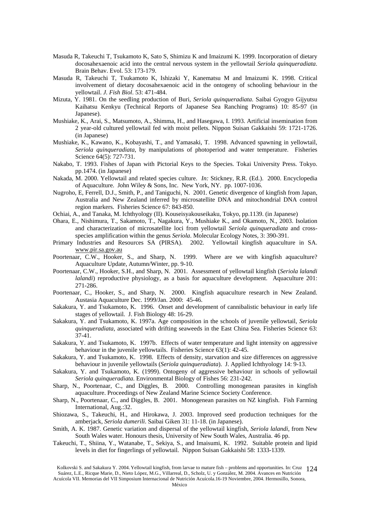- Masuda R, Takeuchi T, Tsukamoto K, Sato S, Shimizu K and Imaizumi K. 1999. Incorporation of dietary docosahexaenoic acid into the central nervous system in the yellowtail *Seriola quinqueradiata*. Brain Behav. Evol. 53: 173-179.
- Masuda R, Takeuchi T, Tsukamoto K, Ishizaki Y, Kanematsu M and Imaizumi K. 1998. Critical involvement of dietary docosahexaenoic acid in the ontogeny of schooling behaviour in the yellowtail. *J. Fish Biol*. 53: 471-484.
- Mizuta, Y. 1981. On the seedling production of Buri, *Seriola quinqueradiata*. Saibai Gyogyo Gijyutsu Kaihatsu Kenkyu (Technical Reports of Japanese Sea Ranching Programs) 10: 85-97 (in Japanese).
- Mushiake, K., Arai, S., Matsumoto, A., Shimma, H., and Hasegawa, I. 1993. Artificial insemination from 2 year-old cultured yellowtail fed with moist pellets. Nippon Suisan Gakkaishi 59: 1721-1726. (in Japanese)
- Mushiake, K., Kawano, K., Kobayashi, T., and Yamasaki, T. 1998. Advanced spawning in yellowtail, *Seriola quinqueradiata*, by manipulations of photoperiod and water temperature. Fisheries Science 64(5): 727-731.
- Nakabo, T. 1993. Fishes of Japan with Pictorial Keys to the Species. Tokai University Press. Tokyo. pp.1474. (in Japanese)
- Nakada, M. 2000. Yellowtail and related species culture. *In:* Stickney, R.R. (Ed.). 2000. Encyclopedia of Aquaculture. John Wiley & Sons, Inc. New York, NY. pp. 1007-1036.
- Nugroho, E, Ferrell, D.J., Smith, P., and Taniguchi, N. 2001. Genetic divergence of kingfish from Japan, Australia and New Zealand inferred by microsatellite DNA and mitochondrial DNA control region markers. Fisheries Science 67: 843-850.
- Ochiai, A., and Tanaka, M. Ichthyology (II). Kouseisyakouseikaku, Tokyo, pp.1139. (in Japanese)
- Ohara, E., Nishimura, T., Sakamoto, T., Nagakura, Y., Mushiake K., and Okamoto, N., 2003. Isolation and characterization of microsatellite loci from yellowtail *Seriola quinqueradiata* and crossspecies amplification within the genus *Seriola*. Molecular Ecology Notes, 3: 390-391.
- Primary Industries and Resources SA (PIRSA). 2002. Yellowtail kingfish aquaculture in SA. www.pir.sa.gov.au
- Poortenaar, C.W., Hooker, S., and Sharp, N. 1999. Where are we with kingfish aquaculture? Aquaculture Update, Autumn/Winter, pp. 9-10.
- Poortenaar, C.W., Hooker, S.H., and Sharp, N. 2001. Assessment of yellowtail kingfish (*Seriola lalandi lalandi*) reproductive physiology, as a basis for aquaculture development. Aquaculture 201: 271-286.
- Poortenaar, C., Hooker, S., and Sharp, N. 2000. Kingfish aquaculture research in New Zealand. Austasia Aquaculture Dec. 1999/Jan. 2000: 45-46.
- Sakakura, Y. and Tsukamoto, K. 1996. Onset and development of cannibalistic behaviour in early life stages of yellowtail. J. Fish Biology 48: 16-29.
- Sakakura, Y. and Tsukamoto, K. 1997a. Age composition in the schools of juvenile yellowtail, *Seriola quinqueradiata*, associated with drifting seaweeds in the East China Sea. Fisheries Science 63: 37-41.
- Sakakura, Y. and Tsukamoto, K. 1997b. Effects of water temperature and light intensity on aggressive behaviour in the juvenile yellowtails. Fisheries Science 63(1): 42-45.
- Sakakura, Y. and Tsukamoto, K. 1998. Effects of density, starvation and size differences on aggressive behaviour in juvenile yellowtails (*Seriola quinqueradiata*). J. Applied Ichthyology 14: 9-13.
- Sakakura, Y. and Tsukamoto, K. (1999). Ontogeny of aggressive behaviour in schools of yellowtail *Seriola quinqueradiata*. Environmental Biology of Fishes 56: 231-242.
- Sharp, N., Poortenaar, C., and Diggles, B. 2000. Controlling monogenean parasites in kingfish aquaculture. Proceedings of New Zealand Marine Science Society Conference.
- Sharp, N., Poortenaar, C., and Diggles, B. 2001. Monogenean parasites on NZ kingfish. Fish Farming International, Aug.:32.
- Shiozawa, S., Takeuchi, H., and Hirokawa, J. 2003. Improved seed production techniques for the amberjack, *Seriola dumerili*. Saibai Giken 31: 11-18. (in Japanese).
- Smith, A. K. 1987. Genetic variation and dispersal of the yellowtail kingfish, *Seriola lalandi*, from New South Wales water. Honours thesis, University of New South Wales, Australia. 46 pp.
- Takeuchi, T., Shiina, Y., Watanabe, T., Sekiya, S., and Imaisumi, K. 1992. Suitable protein and lipid levels in diet for fingerlings of yellowtail. Nippon Suisan Gakkaishi 58: 1333-1339.

Kolkovski S. and Sakakura Y. 2004. Yellowtail kingfish, from larvae to mature fish – problems and opportunities. In: Cruz 124 Suárez, L.E., Ricque Marie, D., Nieto López, M.G., Villarreal, D., Scholz, U. y González, M. 2004. Avances en Nutrición

Acuícola VII. Memorias del VII Simposium Internacional de Nutrición Acuícola.16-19 Noviembre, 2004. Hermosillo, Sonora,